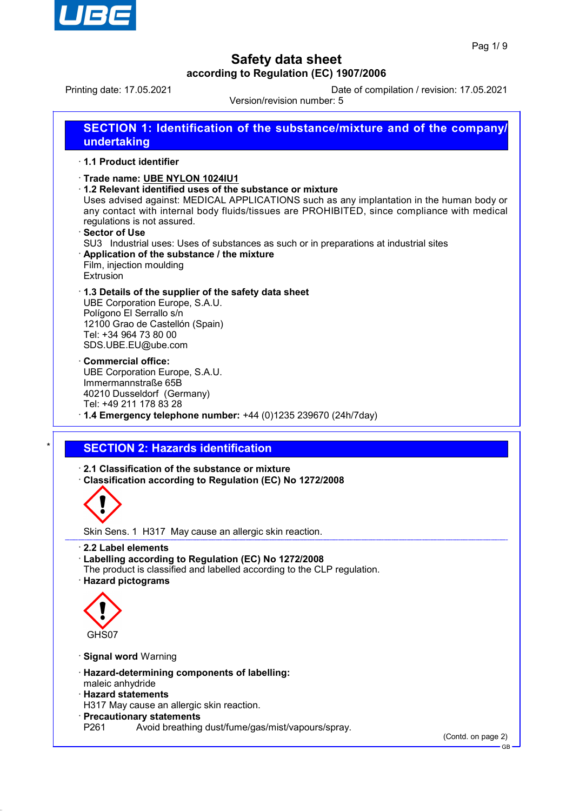

Printing date: 17.05.2021 Date of compilation / revision: 17.05.2021 Version/revision number: 5

**SECTION 1: Identification of the substance/mixture and of the company/ undertaking** · **1.1 Product identifier**

- · **Trade name: UBE NYLON 1024IU1**
- · **1.2 Relevant identified uses of the substance or mixture**

Uses advised against: MEDICAL APPLICATIONS such as any implantation in the human body or any contact with internal body fluids/tissues are PROHIBITED, since compliance with medical regulations is not assured.

- · **Sector of Use**
- SU3 Industrial uses: Uses of substances as such or in preparations at industrial sites
- · **Application of the substance / the mixture** Film, injection moulding Extrusion
- · **1.3 Details of the supplier of the safety data sheet** UBE Corporation Europe, S.A.U.

Polígono El Serrallo s/n 12100 Grao de Castellón (Spain) Tel: +34 964 73 80 00 SDS.UBE.EU@ube.com

- · **Commercial office:** UBE Corporation Europe, S.A.U. Immermannstraße 65B 40210 Dusseldorf (Germany) Tel: +49 211 178 83 28
- · **1.4 Emergency telephone number:** +44 (0)1235 239670 (24h/7day)

### **SECTION 2: Hazards identification**

· **2.1 Classification of the substance or mixture**

· **Classification according to Regulation (EC) No 1272/2008**



Skin Sens. 1 H317 May cause an allergic skin reaction.

- · **2.2 Label elements**
- · **Labelling according to Regulation (EC) No 1272/2008**
- The product is classified and labelled according to the CLP regulation.
- · **Hazard pictograms**



- · **Signal word** Warning
- · **Hazard-determining components of labelling:**
- maleic anhydride
- · **Hazard statements**
- H317 May cause an allergic skin reaction.
- · **Precautionary statements**
- P261 Avoid breathing dust/fume/gas/mist/vapours/spray.

(Contd. on page 2)

GB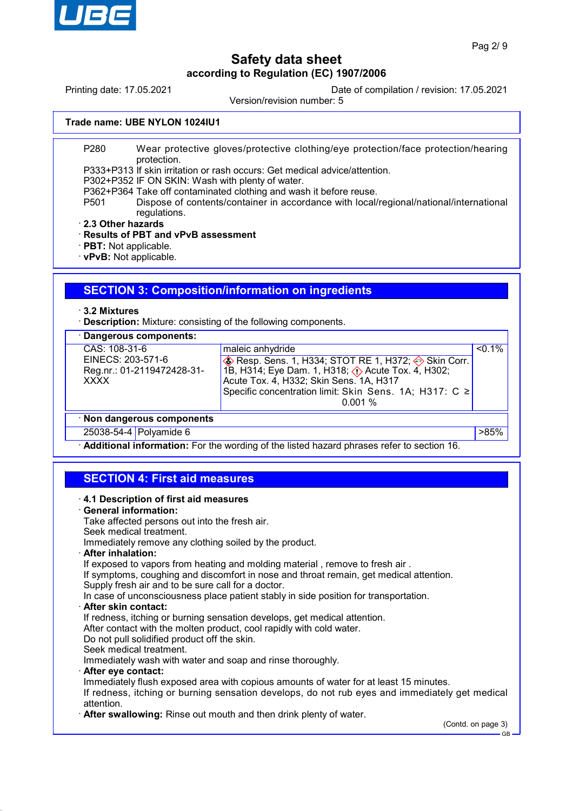

Printing date: 17.05.2021 Date of compilation / revision: 17.05.2021

Version/revision number: 5

#### **Trade name: UBE NYLON 1024IU1**

P280 Wear protective gloves/protective clothing/eye protection/face protection/hearing protection.

P333+P313 If skin irritation or rash occurs: Get medical advice/attention.

P302+P352 IF ON SKIN: Wash with plenty of water.

P362+P364 Take off contaminated clothing and wash it before reuse.

- P501 Dispose of contents/container in accordance with local/regional/national/international regulations.
- · **2.3 Other hazards**

### · **Results of PBT and vPvB assessment**

· **PBT:** Not applicable.

· **vPvB:** Not applicable.

## **SECTION 3: Composition/information on ingredients**

#### · **3.2 Mixtures**

· **Description:** Mixture: consisting of the following components.

## · **Dangerous components:**

|                            | CAS: 108-31-6              | maleic anhydride                                                                     | $< 0.1\%$ |  |
|----------------------------|----------------------------|--------------------------------------------------------------------------------------|-----------|--|
|                            | EINECS: 203-571-6          | <b>Example 20</b> Resp. Sens. 1, H334; STOT RE 1, H372; $\Leftrightarrow$ Skin Corr. |           |  |
|                            | Reg.nr.: 01-2119472428-31- | 1B, H314; Eye Dam. 1, H318; $\langle \cdot \rangle$ Acute Tox. 4, H302;              |           |  |
|                            | <b>XXXX</b>                | Acute Tox. 4, H332; Skin Sens. 1A, H317                                              |           |  |
|                            |                            | Specific concentration limit: Skin Sens. 1A; H317: C $\ge$                           |           |  |
|                            |                            | 0.001%                                                                               |           |  |
| · Non dangerous components |                            |                                                                                      |           |  |
|                            |                            |                                                                                      |           |  |

#### · **Non dangerous components**

25038-54-4 Polyamide 6 **Distribution of the Structure of the Structure of the Structure of the Structure of the Structure of the Structure of the Structure of the Structure of the Structure of the Structure of the Structur** 

· **Additional information:** For the wording of the listed hazard phrases refer to section 16.

# **SECTION 4: First aid measures**

### · **4.1 Description of first aid measures**

· **General information:**

Take affected persons out into the fresh air. Seek medical treatment.

Immediately remove any clothing soiled by the product.

· **After inhalation:**

If exposed to vapors from heating and molding material , remove to fresh air .

If symptoms, coughing and discomfort in nose and throat remain, get medical attention. Supply fresh air and to be sure call for a doctor.

In case of unconsciousness place patient stably in side position for transportation.

· **After skin contact:**

If redness, itching or burning sensation develops, get medical attention.

After contact with the molten product, cool rapidly with cold water.

Do not pull solidified product off the skin.

Seek medical treatment.

Immediately wash with water and soap and rinse thoroughly.

· **After eye contact:**

Immediately flush exposed area with copious amounts of water for at least 15 minutes. If redness, itching or burning sensation develops, do not rub eyes and immediately get medical attention.

· **After swallowing:** Rinse out mouth and then drink plenty of water.

(Contd. on page 3)

GB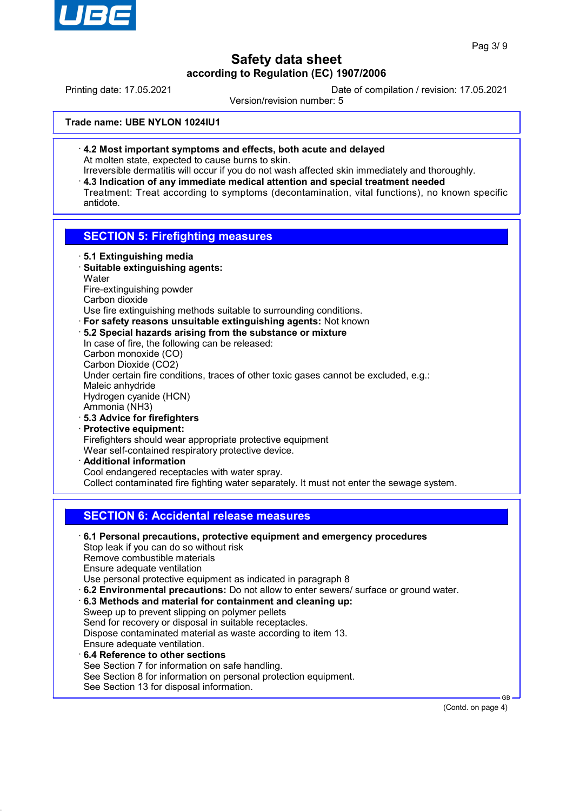

Printing date: 17.05.2021 Date of compilation / revision: 17.05.2021

Version/revision number: 5

**Trade name: UBE NYLON 1024IU1**

· **4.2 Most important symptoms and effects, both acute and delayed** At molten state, expected to cause burns to skin.

Irreversible dermatitis will occur if you do not wash affected skin immediately and thoroughly. · **4.3 Indication of any immediate medical attention and special treatment needed** Treatment: Treat according to symptoms (decontamination, vital functions), no known specific antidote.

### **SECTION 5: Firefighting measures**

- · **5.1 Extinguishing media** · **Suitable extinguishing agents: Water** Fire-extinguishing powder Carbon dioxide Use fire extinguishing methods suitable to surrounding conditions. · **For safety reasons unsuitable extinguishing agents:** Not known · **5.2 Special hazards arising from the substance or mixture** In case of fire, the following can be released: Carbon monoxide (CO) Carbon Dioxide (CO2) Under certain fire conditions, traces of other toxic gases cannot be excluded, e.g.: Maleic anhydride Hydrogen cyanide (HCN) Ammonia (NH3) · **5.3 Advice for firefighters** · **Protective equipment:** Firefighters should wear appropriate protective equipment Wear self-contained respiratory protective device. · **Additional information** Cool endangered receptacles with water spray. Collect contaminated fire fighting water separately. It must not enter the sewage system. **SECTION 6: Accidental release measures**
- · **6.1 Personal precautions, protective equipment and emergency procedures** Stop leak if you can do so without risk Remove combustible materials Ensure adequate ventilation Use personal protective equipment as indicated in paragraph 8 · **6.2 Environmental precautions:** Do not allow to enter sewers/ surface or ground water. · **6.3 Methods and material for containment and cleaning up:** Sweep up to prevent slipping on polymer pellets Send for recovery or disposal in suitable receptacles. Dispose contaminated material as waste according to item 13. Ensure adequate ventilation. · **6.4 Reference to other sections**

See Section 7 for information on safe handling. See Section 8 for information on personal protection equipment. See Section 13 for disposal information.

(Contd. on page 4)

GB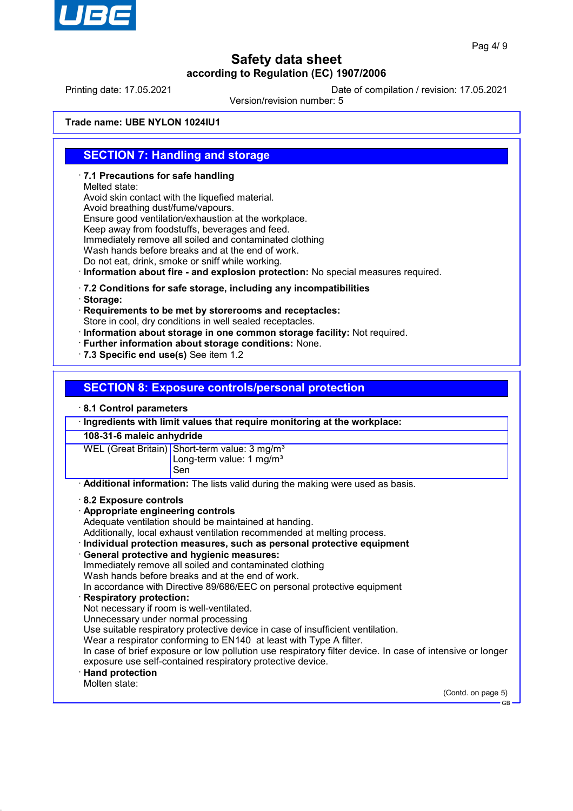

Printing date: 17.05.2021 Date of compilation / revision: 17.05.2021

Version/revision number: 5

**Trade name: UBE NYLON 1024IU1**

### **SECTION 7: Handling and storage**

· **7.1 Precautions for safe handling**

Melted state:

Avoid skin contact with the liquefied material.

Avoid breathing dust/fume/vapours.

Ensure good ventilation/exhaustion at the workplace.

Keep away from foodstuffs, beverages and feed.

Immediately remove all soiled and contaminated clothing

Wash hands before breaks and at the end of work.

Do not eat, drink, smoke or sniff while working.

· **Information about fire - and explosion protection:** No special measures required.

### · **7.2 Conditions for safe storage, including any incompatibilities**

· **Storage:**

· **Requirements to be met by storerooms and receptacles:** Store in cool, dry conditions in well sealed receptacles.

· **Information about storage in one common storage facility:** Not required.

- · **Further information about storage conditions:** None.
- · **7.3 Specific end use(s)** See item 1.2

## **SECTION 8: Exposure controls/personal protection**

### · **8.1 Control parameters**

· **Ingredients with limit values that require monitoring at the workplace:**

### **108-31-6 maleic anhydride**

WEL (Great Britain) Short-term value: 3 mg/m<sup>3</sup> Long-term value: 1 mg/m<sup>3</sup>

Sen

· **Additional information:** The lists valid during the making were used as basis.

### · **8.2 Exposure controls**

- · **Appropriate engineering controls**
- Adequate ventilation should be maintained at handing.

Additionally, local exhaust ventilation recommended at melting process.

· **Individual protection measures, such as personal protective equipment**

### · **General protective and hygienic measures:**

Immediately remove all soiled and contaminated clothing

Wash hands before breaks and at the end of work.

In accordance with Directive 89/686/EEC on personal protective equipment

- · **Respiratory protection:**
- Not necessary if room is well-ventilated.

Unnecessary under normal processing

Use suitable respiratory protective device in case of insufficient ventilation.

Wear a respirator conforming to EN140 at least with Type A filter.

In case of brief exposure or low pollution use respiratory filter device. In case of intensive or longer exposure use self-contained respiratory protective device.

### · **Hand protection**

Molten state:

(Contd. on page 5)

GB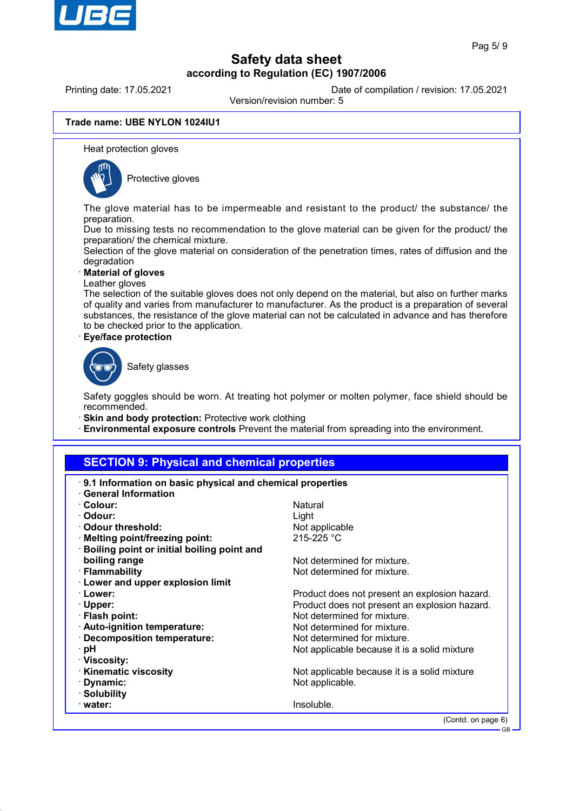

Printing date: 17.05.2021 Date of compilation / revision: 17.05.2021

Version/revision number: 5

#### **Trade name: UBE NYLON 1024IU1**

Heat protection gloves



Protective gloves

The glove material has to be impermeable and resistant to the product/ the substance/ the preparation.

Due to missing tests no recommendation to the glove material can be given for the product/ the preparation/ the chemical mixture.

Selection of the glove material on consideration of the penetration times, rates of diffusion and the degradation

· **Material of gloves**

Leather gloves

The selection of the suitable gloves does not only depend on the material, but also on further marks of quality and varies from manufacturer to manufacturer. As the product is a preparation of several substances, the resistance of the glove material can not be calculated in advance and has therefore to be checked prior to the application.

· **Eye/face protection**



Safety glasses

Safety goggles should be worn. At treating hot polymer or molten polymer, face shield should be recommended.

- · **Skin and body protection:** Protective work clothing
- · **Environmental exposure controls** Prevent the material from spreading into the environment.

### **SECTION 9: Physical and chemical properties**

| 9.1 Information on basic physical and chemical properties<br>· General Information |                                               |  |
|------------------------------------------------------------------------------------|-----------------------------------------------|--|
| · Colour:                                                                          | Natural                                       |  |
| · Odour:                                                                           | Light                                         |  |
| ⋅ Odour threshold:                                                                 |                                               |  |
|                                                                                    | Not applicable<br>$215 - 225$ °C              |  |
| · Melting point/freezing point:                                                    |                                               |  |
| Boiling point or initial boiling point and                                         |                                               |  |
| boiling range                                                                      | Not determined for mixture.                   |  |
| · Flammability                                                                     | Not determined for mixture.                   |  |
| <b>Lower and upper explosion limit</b>                                             |                                               |  |
| · Lower:                                                                           | Product does not present an explosion hazard. |  |
| $\cdot$ Upper:                                                                     | Product does not present an explosion hazard. |  |
| · Flash point:                                                                     | Not determined for mixture.                   |  |
| · Auto-ignition temperature:                                                       | Not determined for mixture.                   |  |
| · Decomposition temperature:                                                       | Not determined for mixture.                   |  |
| ⊹pH                                                                                | Not applicable because it is a solid mixture  |  |
| · Viscosity:                                                                       |                                               |  |
| <b>Kinematic viscosity</b>                                                         | Not applicable because it is a solid mixture  |  |
| · Dynamic:                                                                         | Not applicable.                               |  |
| · Solubility                                                                       |                                               |  |
| $\cdot$ water:                                                                     | Insoluble.                                    |  |
| (Contd. on page 6)                                                                 |                                               |  |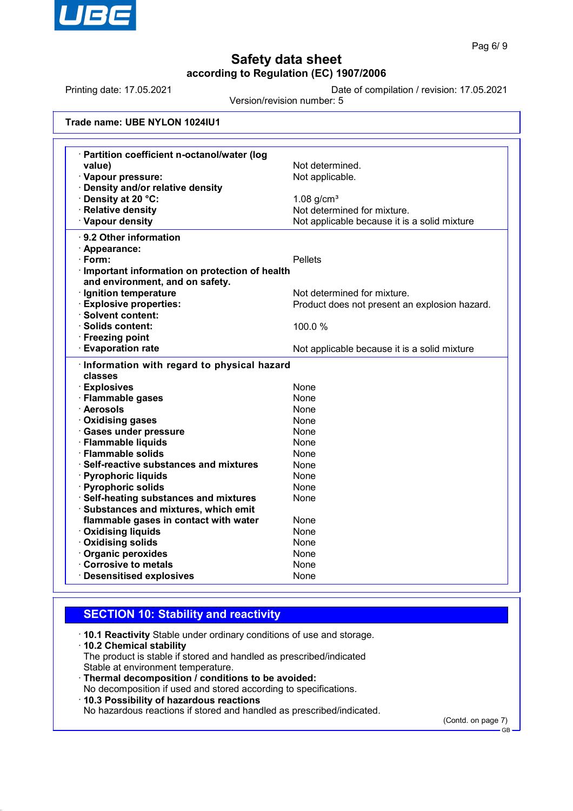

Printing date: 17.05.2021 Date of compilation / revision: 17.05.2021

Version/revision number: 5

| Trade name: UBE NYLON 1024IU1 |  |  |
|-------------------------------|--|--|
|-------------------------------|--|--|

| · Partition coefficient n-octanol/water (log<br>value)                             | Not determined.                               |  |  |  |
|------------------------------------------------------------------------------------|-----------------------------------------------|--|--|--|
| · Vapour pressure:                                                                 | Not applicable.                               |  |  |  |
| · Density and/or relative density                                                  |                                               |  |  |  |
| · Density at 20 °C:                                                                | $1.08$ g/cm <sup>3</sup>                      |  |  |  |
| · Relative density                                                                 | Not determined for mixture.                   |  |  |  |
| · Vapour density                                                                   | Not applicable because it is a solid mixture  |  |  |  |
| · 9.2 Other information                                                            |                                               |  |  |  |
|                                                                                    |                                               |  |  |  |
| · Appearance:<br>$\cdot$ Form:                                                     | <b>Pellets</b>                                |  |  |  |
|                                                                                    |                                               |  |  |  |
| · Important information on protection of health<br>and environment, and on safety. |                                               |  |  |  |
| · Ignition temperature                                                             | Not determined for mixture.                   |  |  |  |
| <b>Explosive properties:</b>                                                       | Product does not present an explosion hazard. |  |  |  |
| · Solvent content:                                                                 |                                               |  |  |  |
| · Solids content:                                                                  | 100.0 %                                       |  |  |  |
| · Freezing point                                                                   |                                               |  |  |  |
| · Evaporation rate                                                                 | Not applicable because it is a solid mixture  |  |  |  |
| · Information with regard to physical hazard                                       |                                               |  |  |  |
| classes                                                                            |                                               |  |  |  |
| <b>Explosives</b>                                                                  | None                                          |  |  |  |
| · Flammable gases                                                                  | None                                          |  |  |  |
| · Aerosols                                                                         | None                                          |  |  |  |
| · Oxidising gases                                                                  | None                                          |  |  |  |
|                                                                                    |                                               |  |  |  |
| · Gases under pressure                                                             | None                                          |  |  |  |
| · Flammable liquids                                                                | None                                          |  |  |  |
| · Flammable solids                                                                 | None                                          |  |  |  |
| $\cdot$ Self-reactive substances and mixtures                                      | None                                          |  |  |  |
| · Pyrophoric liquids                                                               | None                                          |  |  |  |
| · Pyrophoric solids                                                                | None                                          |  |  |  |
| · Self-heating substances and mixtures                                             | None                                          |  |  |  |
| Substances and mixtures, which emit                                                |                                               |  |  |  |
| flammable gases in contact with water                                              | None                                          |  |  |  |
| <b>Oxidising liquids</b>                                                           | None                                          |  |  |  |
| <b>Oxidising solids</b>                                                            | None                                          |  |  |  |
| Organic peroxides<br>Corrosive to metals                                           | None<br>None                                  |  |  |  |

# **SECTION 10: Stability and reactivity**

· **10.1 Reactivity** Stable under ordinary conditions of use and storage.

#### · **10.2 Chemical stability**

The product is stable if stored and handled as prescribed/indicated Stable at environment temperature.

- · **Thermal decomposition / conditions to be avoided:**
- No decomposition if used and stored according to specifications.
- · **10.3 Possibility of hazardous reactions**

No hazardous reactions if stored and handled as prescribed/indicated.

(Contd. on page 7)

GB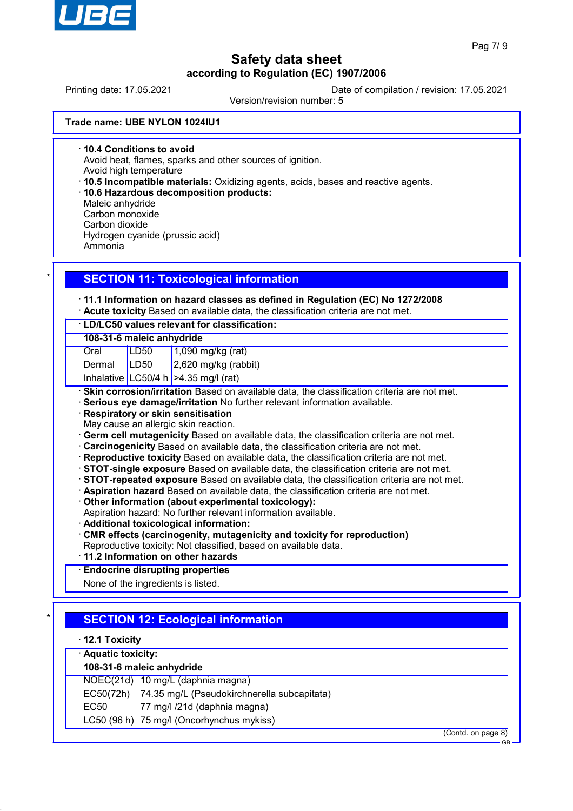

Printing date: 17.05.2021 Date of compilation / revision: 17.05.2021

Version/revision number: 5

**Trade name: UBE NYLON 1024IU1**

· **10.4 Conditions to avoid**

Avoid heat, flames, sparks and other sources of ignition.

Avoid high temperature

- · **10.5 Incompatible materials:** Oxidizing agents, acids, bases and reactive agents.
- · **10.6 Hazardous decomposition products:**
- Maleic anhydride Carbon monoxide Carbon dioxide

Hydrogen cyanide (prussic acid) Ammonia

# **SECTION 11: Toxicological information**

# · **11.1 Information on hazard classes as defined in Regulation (EC) No 1272/2008**

· **Acute toxicity** Based on available data, the classification criteria are not met.

### · **LD/LC50 values relevant for classification:**

#### **108-31-6 maleic anhydride**

- Oral LD50 1,090 mg/kg (rat)
- Dermal LD50 2,620 mg/kg (rabbit)

Inhalative  $|$  LC50/4 h  $|$  >4.35 mg/l (rat)

· **Skin corrosion/irritation** Based on available data, the classification criteria are not met.

- · **Serious eye damage/irritation** No further relevant information available.
- · **Respiratory or skin sensitisation**
- May cause an allergic skin reaction.
- **Germ cell mutagenicity** Based on available data, the classification criteria are not met.
- · **Carcinogenicity** Based on available data, the classification criteria are not met.
- · **Reproductive toxicity** Based on available data, the classification criteria are not met.
- · **STOT-single exposure** Based on available data, the classification criteria are not met.
- · **STOT-repeated exposure** Based on available data, the classification criteria are not met.
- · **Aspiration hazard** Based on available data, the classification criteria are not met.
- · **Other information (about experimental toxicology):**
- Aspiration hazard: No further relevant information available.
- · **Additional toxicological information:**
- · **CMR effects (carcinogenity, mutagenicity and toxicity for reproduction)**
- Reproductive toxicity: Not classified, based on available data.
- · **11.2 Information on other hazards**

# · **Endocrine disrupting properties**

None of the ingredients is listed.

# **SECTION 12: Ecological information**

| $\cdot$ 12.1 Toxicity     |                                                       |  |  |  |
|---------------------------|-------------------------------------------------------|--|--|--|
| · Aquatic toxicity:       |                                                       |  |  |  |
| 108-31-6 maleic anhydride |                                                       |  |  |  |
|                           | NOEC(21d) 10 mg/L (daphnia magna)                     |  |  |  |
|                           | EC50(72h) 74.35 mg/L (Pseudokirchnerella subcapitata) |  |  |  |
| EC <sub>50</sub>          | 77 mg/l /21d (daphnia magna)                          |  |  |  |
|                           | LC50 (96 h) 75 mg/l (Oncorhynchus mykiss)             |  |  |  |
|                           | (Contd. on page 8)                                    |  |  |  |
|                           | <b>GB</b>                                             |  |  |  |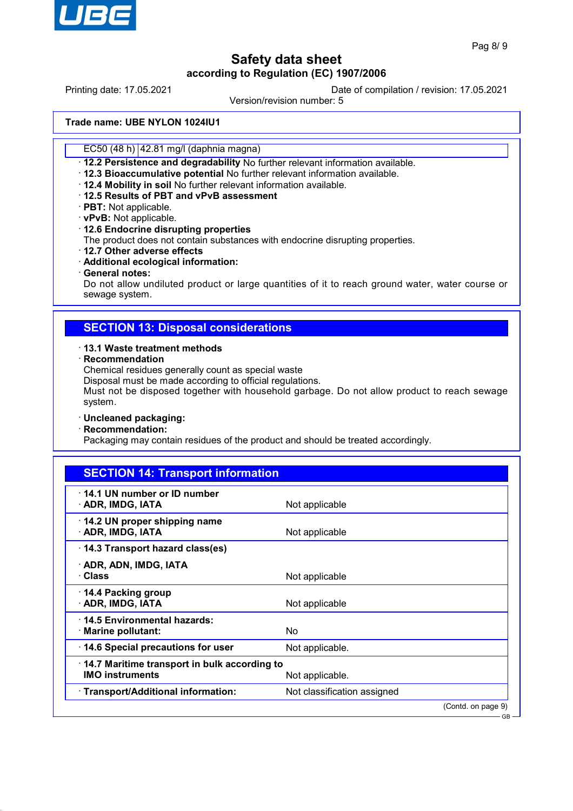

Printing date: 17.05.2021 Date of compilation / revision: 17.05.2021

Version/revision number: 5

**Trade name: UBE NYLON 1024IU1**

EC50 (48 h) 42.81 mg/l (daphnia magna)

· **12.2 Persistence and degradability** No further relevant information available.

· **12.3 Bioaccumulative potential** No further relevant information available.

· **12.4 Mobility in soil** No further relevant information available.

- · **12.5 Results of PBT and vPvB assessment**
- · **PBT:** Not applicable.

· **vPvB:** Not applicable.

· **12.6 Endocrine disrupting properties**

The product does not contain substances with endocrine disrupting properties.

- · **12.7 Other adverse effects**
- · **Additional ecological information:**
- · **General notes:**

Do not allow undiluted product or large quantities of it to reach ground water, water course or sewage system.

### **SECTION 13: Disposal considerations**

#### · **13.1 Waste treatment methods**

#### · **Recommendation**

Chemical residues generally count as special waste

Disposal must be made according to official regulations.

Must not be disposed together with household garbage. Do not allow product to reach sewage system.

### · **Uncleaned packaging:**

· **Recommendation:**

Packaging may contain residues of the product and should be treated accordingly.

| <b>SECTION 14: Transport information</b>                                                  |                             |  |
|-------------------------------------------------------------------------------------------|-----------------------------|--|
| 14.1 UN number or ID number<br>· ADR, IMDG, IATA                                          | Not applicable              |  |
| 14.2 UN proper shipping name<br>· ADR, IMDG, IATA                                         | Not applicable              |  |
| 14.3 Transport hazard class(es)                                                           |                             |  |
| · ADR, ADN, IMDG, IATA<br>· Class                                                         | Not applicable              |  |
| ⋅ 14.4 Packing group<br>· ADR, IMDG, IATA                                                 | Not applicable              |  |
| 14.5 Environmental hazards:<br>· Marine pollutant:                                        | No.                         |  |
| 14.6 Special precautions for user                                                         | Not applicable.             |  |
| 14.7 Maritime transport in bulk according to<br><b>IMO instruments</b><br>Not applicable. |                             |  |
| · Transport/Additional information:                                                       | Not classification assigned |  |
|                                                                                           | (Contd. on page 9)          |  |